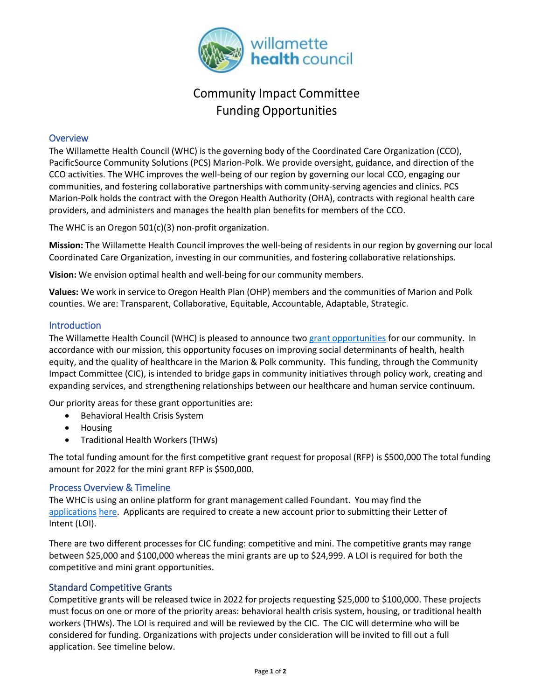

# Community Impact Committee Funding Opportunities

## **Overview**

The Willamette Health Council (WHC) is the governing body of the Coordinated Care Organization (CCO), PacificSource Community Solutions (PCS) Marion-Polk. We provide oversight, guidance, and direction of the CCO activities. The WHC improves the well-being of our region by governing our local CCO, engaging our communities, and fostering collaborative partnerships with community-serving agencies and clinics. PCS Marion-Polk holds the contract with the Oregon Health Authority (OHA), contracts with regional health care providers, and administers and manages the health plan benefits for members of the CCO.

The WHC is an Oregon 501(c)(3) non-profit organization.

**Mission:** The Willamette Health Council improves the well-being of residents in our region by governing our local Coordinated Care Organization, investing in our communities, and fostering collaborative relationships.

**Vision:** We envision optimal health and well-being for our community members.

**Values:** We work in service to Oregon Health Plan (OHP) members and the communities of Marion and Polk counties. We are: Transparent, Collaborative, Equitable, Accountable, Adaptable, Strategic.

### **Introduction**

The Willamette Health Council (WHC) is pleased to announce two grant [opportunities](https://www.grantinterface.com/Home/Logon?urlkey=willamette) for our community. In accordance with our mission, this opportunity focuses on improving social determinants of health, health equity, and the quality of healthcare in the Marion & Polk community. This funding, through the Community Impact Committee (CIC), is intended to bridge gaps in community initiatives through policy work, creating and expanding services, and strengthening relationships between our healthcare and human service continuum.

Our priority areas for these grant opportunities are:

- Behavioral Health Crisis System
- Housing
- Traditional Health Workers(THWs)

The total funding amount for the first competitive grant request for proposal (RFP) is \$500,000 The total funding amount for 2022 for the mini grant RFP is \$500,000.

### Process Overview & Timeline

The WHC is using an online platform for grant management called Foundant. You may find the [applications](https://www.grantinterface.com/Home/Logon?urlkey=willamette) [here.](https://www.grantinterface.com/Home/Logon?urlkey=willamette) Applicants are required to create a new account prior to submitting their Letter of Intent (LOI).

There are two different processes for CIC funding: competitive and mini. The competitive grants may range between \$25,000 and \$100,000 whereas the mini grants are up to \$24,999. A LOI is required for both the competitive and mini grant opportunities.

### Standard Competitive Grants

Competitive grants will be released twice in 2022 for projects requesting \$25,000 to \$100,000. These projects must focus on one or more of the priority areas: behavioral health crisis system, housing, or traditional health workers (THWs). The LOI is required and will be reviewed by the CIC. The CIC will determine who will be considered for funding. Organizations with projects under consideration will be invited to fill out a full application. See timeline below.